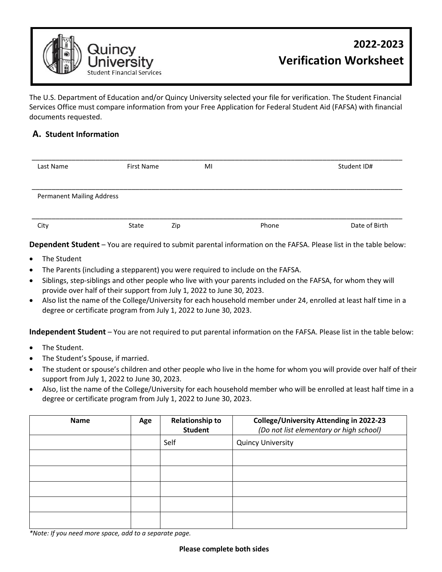

The U.S. Department of Education and/or Quincy University selected your file for verification. The Student Financial Services Office must compare information from your Free Application for Federal Student Aid (FAFSA) with financial documents requested.

## **A. Student Information**

| Last Name                        | First Name | MI  |       | Student ID#   |
|----------------------------------|------------|-----|-------|---------------|
| <b>Permanent Mailing Address</b> |            |     |       |               |
| City                             | State      | Zip | Phone | Date of Birth |

**Dependent Student** – You are required to submit parental information on the FAFSA. Please list in the table below:

- The Student
- The Parents (including a stepparent) you were required to include on the FAFSA.
- Siblings, step-siblings and other people who live with your parents included on the FAFSA, for whom they will provide over half of their support from July 1, 2022 to June 30, 2023.
- Also list the name of the College/University for each household member under 24, enrolled at least half time in a degree or certificate program from July 1, 2022 to June 30, 2023.

**Independent Student** – You are not required to put parental information on the FAFSA. Please list in the table below:

- The Student.
- The Student's Spouse, if married.
- The student or spouse's children and other people who live in the home for whom you will provide over half of their support from July 1, 2022 to June 30, 2023.
- Also, list the name of the College/University for each household member who will be enrolled at least half time in a degree or certificate program from July 1, 2022 to June 30, 2023.

| <b>Name</b> | Age | <b>Relationship to</b><br><b>Student</b> | <b>College/University Attending in 2022-23</b><br>(Do not list elementary or high school) |
|-------------|-----|------------------------------------------|-------------------------------------------------------------------------------------------|
|             |     | Self                                     | <b>Quincy University</b>                                                                  |
|             |     |                                          |                                                                                           |
|             |     |                                          |                                                                                           |
|             |     |                                          |                                                                                           |
|             |     |                                          |                                                                                           |
|             |     |                                          |                                                                                           |

*\*Note: If you need more space, add to a separate page.*